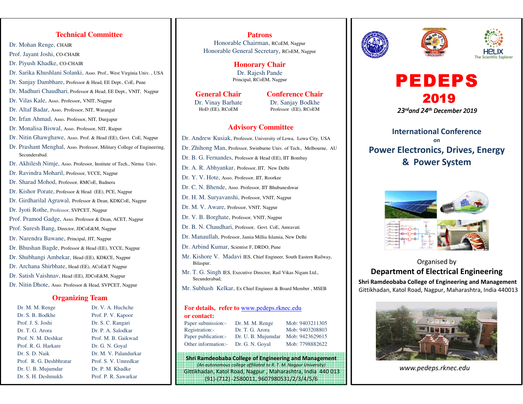#### **Technical Committee**

Dr. Mohan Renge, CHAIR

- Prof. Jayant Joshi, CO-CHAIR
- Dr. Piyush Khadke, CO-CHAIR
- Dr. Sarika Khushlani Solanki, Asso. Prof., West Virginia Univ. , USA

Dr. Sanjay Dambhare, Professor & Head, EE Dept., CoE, Pune

- Dr. Madhuri Chaudhari, Professor & Head, EE Dept., VNIT, Nagpur
- Dr. Vilas Kale, Asso. Professor, VNIT, Nagpur
- Dr. Altaf Badar, Asso. Professor, NIT, Warangal
- Dr. Irfan Ahmad, Asso. Professor, NIT, Durgapur
- Dr. Monalisa Biswal, Asso. Professor, NIT, Raipur
- Dr. Nitin Ghawghawe, Asso. Prof. & Head (EE), Govt. CoE, Nagpur
- Dr. Prashant Menghal, Asso. Professor, Military College of Engineering, Secunderabad.
- Dr. Akhilesh Nimje, Asso. Professor, Institute of Tech., Nirma Univ.
- Dr. Ravindra Moharil, Professor, YCCE, Nagpur
- Dr. Sharad Mohod, Professor, RMCoE, Badnera
- Dr. Kishor Porate, Professor & Head (EE), PCE, Nagpur
- Dr. Girdharilal Agrawal, Professor & Dean, KDKCoE, Nagpur
- Dr. Jyoti Rothe, Professor, SVPCET, Nagpur
- Prof. Pramod Gadge, Asso. Professor & Dean, ACET, Nagpur
- Prof. Suresh Bang, Director, JDCoE&M, Nagpur
- Dr. Narendra Bawane, Principal, JIT, Nagpur
- Dr. Bhushan Bagde, Professor & Head (EE), YCCE, Nagpur
- Dr. Shubhangi Ambekar, Head (EE), KDKCE, Nagpur
- Dr. Archana Shirbhate, Head (EE), ACoE&T Nagpur
- Dr. Satish Vaishnav, Head (EE), JDCoE&M, Nagpur
- Dr. Nitin Dhote, Asso. Professor & Head, SVPCET, Nagpur

#### **Organizing Team**

| Dr. M. M. Renge         | Dr. V. A. Huchche     |
|-------------------------|-----------------------|
| Dr. S. B. Bodkhe        | Prof. P. V. Kapoor    |
| Prof. J. S. Joshi       | Dr. S. C. Rangari     |
| Dr. T. G. Arora         | Dr. P. A. Salodkar    |
| Prof. N. M. Deshkar     | Prof. M. B. Gaikwad   |
| Prof. R. G. Harkare     | Dr. G. N. Goyal       |
| Dr. S. D. Naik          | Dr. M. V. Palandurkar |
| Prof. R. G. Deshbhratar | Prof. S. V. Umredkar  |
| Dr. U. B. Mujumdar      | Dr. P. M. Khadke      |
| Dr. S. H. Deshmukh      | Prof. P. R. Sawarkar  |

#### **Patrons**

 Honorable Chairman, RCoEM, NagpurHonorable General Secretary, RCoEM, Nagpur

> **Honorary Chair** Dr. Rajesh PandePrincipal, RCoEM, Nagpur

#### **General Chair**

 Dr. Vinay BarhateHoD (EE), RCoEM

**Conference Chair** Dr. Sanjay BodkheProfessor (EE), RCoEM

#### **Advisory Committee**

- Dr. Andrew Kusiak, Professor, University of Lowa, Lowa City, USADr. Zhihong Man, Professor, Swinburne Univ. of Tech., Melbourne, AUDr. B. G. Fernandes, Professor & Head (EE), IIT BombayDr. A. R. Abhyankar, Professor, IIT, New Delhi
- Dr. Y. V. Hote, Asso. Professor, IIT, Roorkee
- Dr. C. N. Bhende, Asso. Professor, IIT Bhubaneshwar
- Dr. H. M. Suryavanshi, Professor, VNIT, Nagpur
- Dr. M. V. Aware, Professor, VNIT, Nagpur
- Dr. V. B. Borghate, Professor, VNIT, Nagpur
- Dr. B. N. Chaudhari, Professor, Govt. CoE, Amravati
- Dr. Manaullah, Professor, Jamia Millia Islamia, New Delhi
- Dr. Arbind Kumar, Scientist F, DRDO, Pune
- Mr. Kishore V. Madavi IES, Chief Engineer, South Eastern Railway, Bilaspur.
- Mr. T. G. Singh IES, Executive Director, Rail Vikas Nigam Ltd., Secunderabad,
- Mr. Subhash Kelkar, Ex Chief Engineer & Board Member , MSEB

#### **For details, refer to** www.pedeps.rknec.edu**or contact:**

| .                   |                    |                 |
|---------------------|--------------------|-----------------|
| Paper submission:-  | Dr. M. M. Renge    | Mob: 9403211305 |
| Registration:-      | Dr. T. G. Arora    | Mob: 9403208803 |
| Paper publication:- | Dr. U. B. Mujumdar | Mob: 9423629615 |
| Other information:- | Dr. G. N. Goyal    | Mob: 7798882622 |

Shri Ramdeobaba College of Engineering and Management (An autonomous college affiliated to R. T. M. Nagpur University) Gittikhadan, Katol Road, Nagpur , Maharashtra, India 440 013(91)-(712) -2580011, 9607980531/2/3/4/5/6







# PEDEPS201923rdand 24th December 2019

## International Conference on Power Electronics, Drives, Energy & Power System



Organised by Department of Electrical EngineeringShri Ramdeobaba College of Engineering and Management

Gittikhadan, Katol Road, Nagpur, Maharashtra, India 440013



www.pedeps.rknec.edu